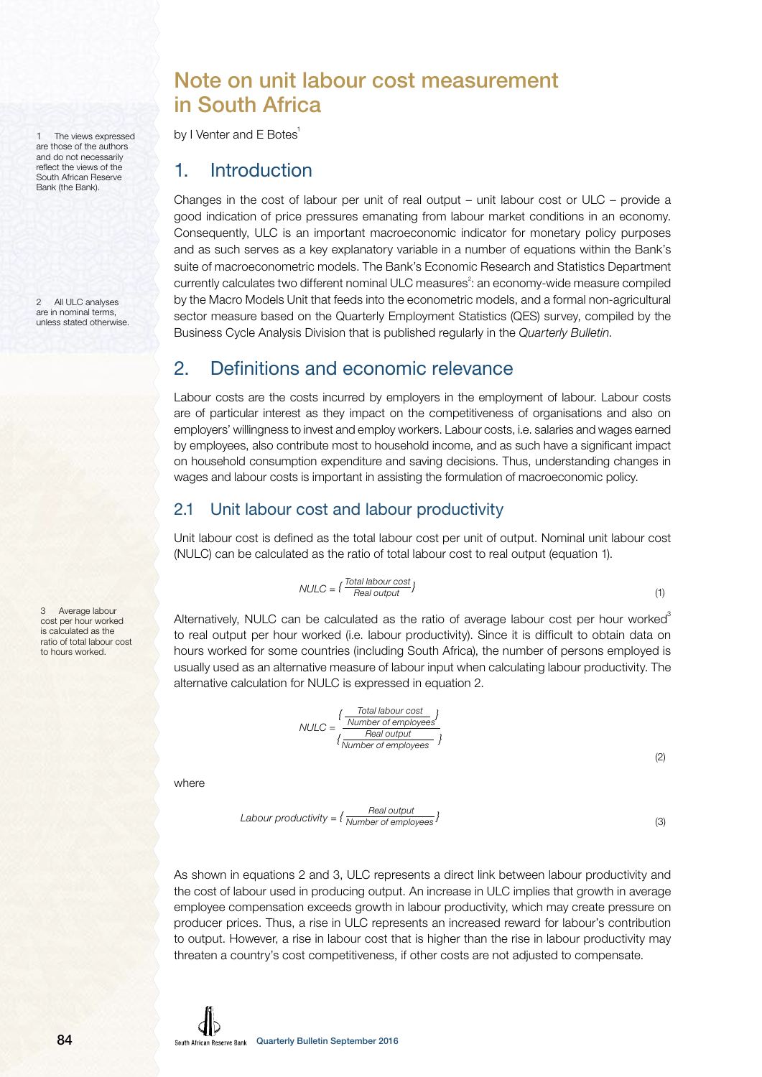1 The views expressed are those of the authors and do not necessarily reflect the views of the South African Reserve Bank (the Bank).

2 All ULC analyses are in nominal terms, unless stated otherwise.

3 Average labour cost per hour worked is calculated as the ratio of total labour cost to hours worked.

# Note on unit labour cost measurement in South Africa

by I Venter and E Botes<sup>1</sup>

## 1. Introduction

Changes in the cost of labour per unit of real output – unit labour cost or ULC – provide a good indication of price pressures emanating from labour market conditions in an economy. Consequently, ULC is an important macroeconomic indicator for monetary policy purposes and as such serves as a key explanatory variable in a number of equations within the Bank's suite of macroeconometric models. The Bank's Economic Research and Statistics Department currently calculates two different nominal ULC measures<sup>2</sup>: an economy-wide measure compiled by the Macro Models Unit that feeds into the econometric models, and a formal non-agricultural sector measure based on the Quarterly Employment Statistics (QES) survey, compiled by the Business Cycle Analysis Division that is published regularly in the Quarterly Bulletin.

### 2. Definitions and economic relevance

Labour costs are the costs incurred by employers in the employment of labour. Labour costs are of particular interest as they impact on the competitiveness of organisations and also on employers' willingness to invest and employ workers. Labour costs, i.e. salaries and wages earned by employees, also contribute most to household income, and as such have a significant impact on household consumption expenditure and saving decisions. Thus, understanding changes in wages and labour costs is important in assisting the formulation of macroeconomic policy.

### 2.1 Unit labour cost and labour productivity

Unit labour cost is defined as the total labour cost per unit of output. Nominal unit labour cost (NULC) can be calculated as the ratio of total labour cost to real output (equation 1).

$$
NULLC = \left\{ \frac{Total labour cost}{Real output} \right\}
$$
\n
$$
\tag{1}
$$

Alternatively, NULC can be calculated as the ratio of average labour cost per hour worked<sup>3</sup> to real output per hour worked (i.e. labour productivity). Since it is difficult to obtain data on hours worked for some countries (including South Africa), the number of persons employed is usually used as an alternative measure of labour input when calculating labour productivity. The alternative calculation for NULC is expressed in equation 2.

$$
NULLC = \frac{\left\{\frac{Total labour cost}{Number of employees}\right\}}{\left\{\frac{Real output}{Number of employees}\right\}}
$$

 $(2)$ 

where

$$
Labor productivity = \left\{ \frac{Real\ output}{Number\ of\ employees} \right\}
$$
\n(3)

As shown in equations 2 and 3, ULC represents a direct link between labour productivity and the cost of labour used in producing output. An increase in ULC implies that growth in average employee compensation exceeds growth in labour productivity, which may create pressure on producer prices. Thus, a rise in ULC represents an increased reward for labour's contribution to output. However, a rise in labour cost that is higher than the rise in labour productivity may threaten a country's cost competitiveness, if other costs are not adjusted to compensate.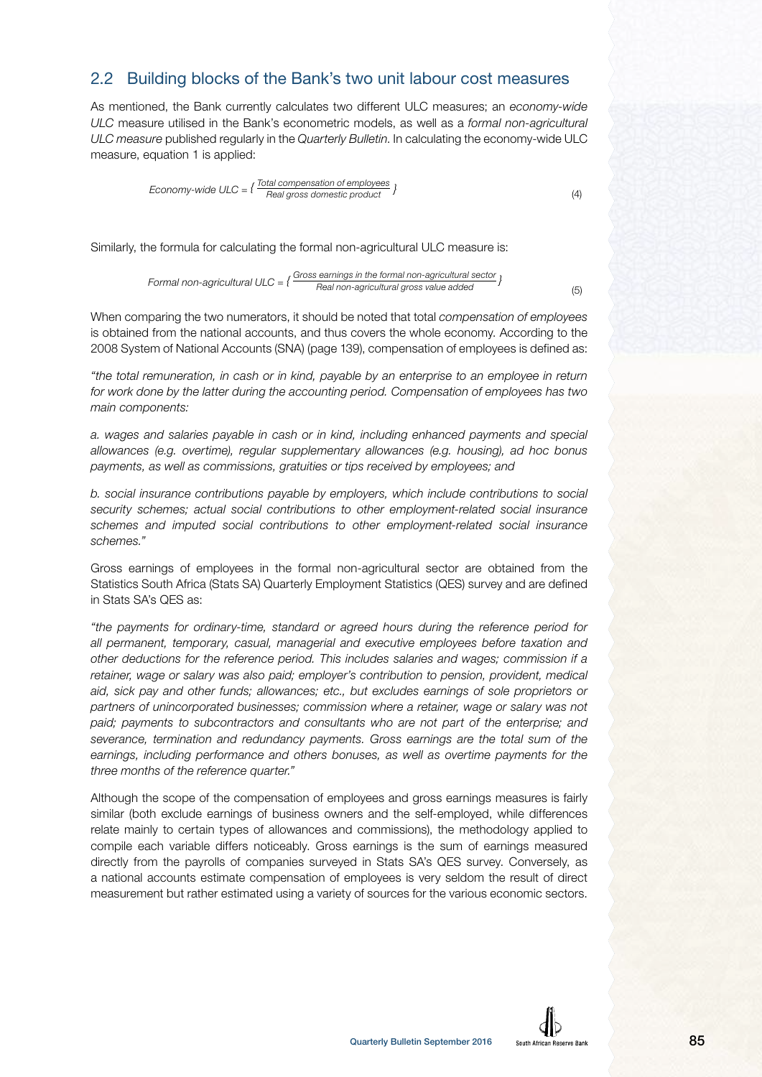#### 2.2 Building blocks of the Bank's two unit labour cost measures

As mentioned, the Bank currently calculates two different ULC measures; an economy-wide ULC measure utilised in the Bank's econometric models, as well as a formal non-agricultural ULC measure published regularly in the Quarterly Bulletin. In calculating the economy-wide ULC measure, equation 1 is applied:

Economy-wide ULC = 
$$
\{ \frac{Total compensation of employees}{Real gross domestic product} \}
$$
 (4)

Similarly, the formula for calculating the formal non-agricultural ULC measure is:

Formal non-agricultural ULC =  $\{\frac{\text{Gross earnings in the formal non-agricultural sector}}{\text{Real non-agricultural gross value added}}\}$ 

When comparing the two numerators, it should be noted that total *compensation of employees* is obtained from the national accounts, and thus covers the whole economy. According to the 2008 System of National Accounts (SNA) (page 139), compensation of employees is defined as:

"the total remuneration, in cash or in kind, payable by an enterprise to an employee in return for work done by the latter during the accounting period. Compensation of employees has two main components:

a. wages and salaries payable in cash or in kind, including enhanced payments and special allowances (e.g. overtime), regular supplementary allowances (e.g. housing), ad hoc bonus payments, as well as commissions, gratuities or tips received by employees; and

b. social insurance contributions payable by employers, which include contributions to social security schemes; actual social contributions to other employment-related social insurance schemes and imputed social contributions to other employment-related social insurance schemes."

Gross earnings of employees in the formal non-agricultural sector are obtained from the Statistics South Africa (Stats SA) Quarterly Employment Statistics (QES) survey and are defined in Stats SA's QES as:

"the payments for ordinary-time, standard or agreed hours during the reference period for all permanent, temporary, casual, managerial and executive employees before taxation and other deductions for the reference period. This includes salaries and wages; commission if a retainer, wage or salary was also paid; employer's contribution to pension, provident, medical aid, sick pay and other funds; allowances; etc., but excludes earnings of sole proprietors or partners of unincorporated businesses; commission where a retainer, wage or salary was not paid; payments to subcontractors and consultants who are not part of the enterprise; and severance, termination and redundancy payments. Gross earnings are the total sum of the earnings, including performance and others bonuses, as well as overtime payments for the three months of the reference quarter."

Although the scope of the compensation of employees and gross earnings measures is fairly similar (both exclude earnings of business owners and the self-employed, while differences relate mainly to certain types of allowances and commissions), the methodology applied to compile each variable differs noticeably. Gross earnings is the sum of earnings measured directly from the payrolls of companies surveyed in Stats SA's QES survey. Conversely, as a national accounts estimate compensation of employees is very seldom the result of direct measurement but rather estimated using a variety of sources for the various economic sectors.



 $(5)$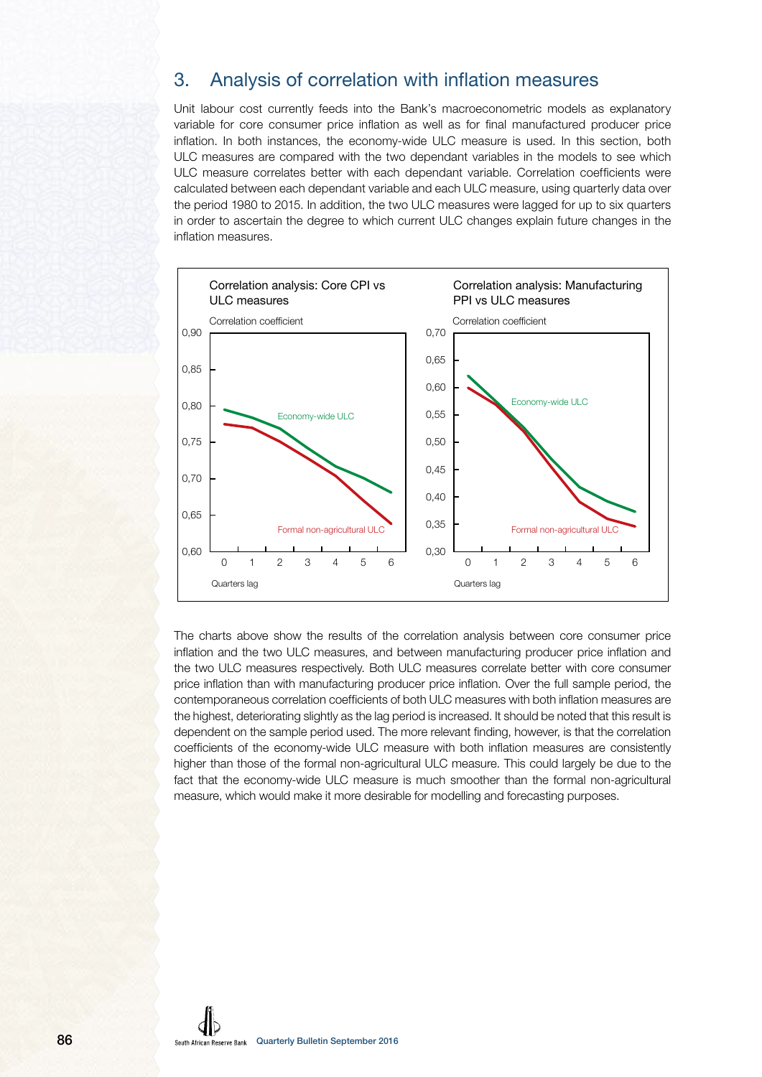### 3. Analysis of correlation with inflation measures

Unit labour cost currently feeds into the Bank's macroeconometric models as explanatory variable for core consumer price inflation as well as for final manufactured producer price inflation. In both instances, the economy-wide ULC measure is used. In this section, both ULC measures are compared with the two dependant variables in the models to see which ULC measure correlates better with each dependant variable. Correlation coefficients were calculated between each dependant variable and each ULC measure, using quarterly data over the period 1980 to 2015. In addition, the two ULC measures were lagged for up to six quarters in order to ascertain the degree to which current ULC changes explain future changes in the inflation measures.



The charts above show the results of the correlation analysis between core consumer price inflation and the two ULC measures, and between manufacturing producer price inflation and the two ULC measures respectively. Both ULC measures correlate better with core consumer price inflation than with manufacturing producer price inflation. Over the full sample period, the contemporaneous correlation coefficients of both ULC measures with both inflation measures are the highest, deteriorating slightly as the lag period is increased. It should be noted that this result is dependent on the sample period used. The more relevant finding, however, is that the correlation coefficients of the economy-wide ULC measure with both inflation measures are consistently higher than those of the formal non-agricultural ULC measure. This could largely be due to the fact that the economy-wide ULC measure is much smoother than the formal non-agricultural measure, which would make it more desirable for modelling and forecasting purposes.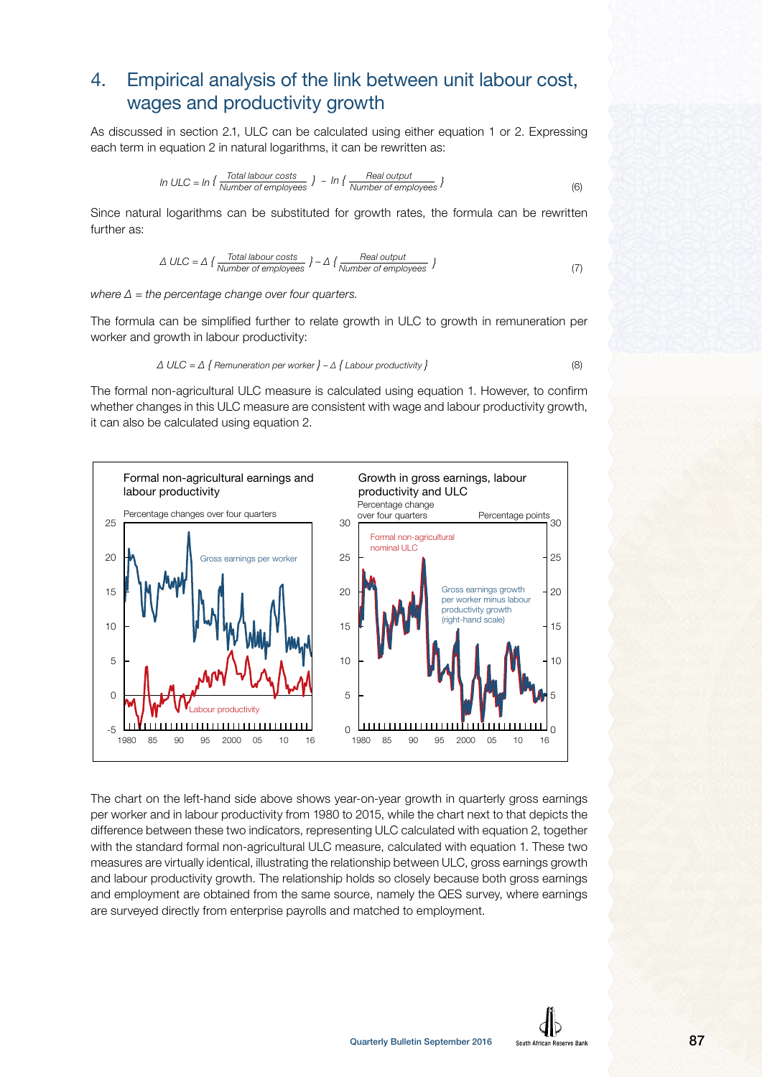# 4. Empirical analysis of the link between unit labour cost, wages and productivity growth

As discussed in section 2.1, ULC can be calculated using either equation 1 or 2. Expressing each term in equation 2 in natural logarithms, it can be rewritten as:

In ULC = 
$$
\ln \left\{ \frac{\text{Total labour costs}}{\text{Number of employees}} \right\} - \ln \left\{ \frac{\text{Real output}}{\text{Number of employees}} \right\}
$$
 (6)

Since natural logarithms can be substituted for growth rates, the formula can be rewritten further as:

$$
\Delta \text{ ULC} = \Delta \left\{ \frac{\text{Total labour costs}}{\text{Number of employees}} \right\} - \Delta \left\{ \frac{\text{Real output}}{\text{Number of employees}} \right\} \tag{7}
$$

where  $\Delta$  = the percentage change over four quarters.

The formula can be simplified further to relate growth in ULC to growth in remuneration per worker and growth in labour productivity:

$$
\Delta \text{ ULC} = \Delta \{ \text{Remuneration per worker } } - \Delta \{ \text{ Labor} \text{ productivity } \}
$$
\n(8)

The formal non-agricultural ULC measure is calculated using equation 1. However, to confirm whether changes in this ULC measure are consistent with wage and labour productivity growth, it can also be calculated using equation 2.



The chart on the left-hand side above shows year-on-year growth in quarterly gross earnings per worker and in labour productivity from 1980 to 2015, while the chart next to that depicts the difference between these two indicators, representing ULC calculated with equation 2, together with the standard formal non-agricultural ULC measure, calculated with equation 1. These two measures are virtually identical, illustrating the relationship between ULC, gross earnings growth and labour productivity growth. The relationship holds so closely because both gross earnings and employment are obtained from the same source, namely the QES survey, where earnings are surveyed directly from enterprise payrolls and matched to employment.